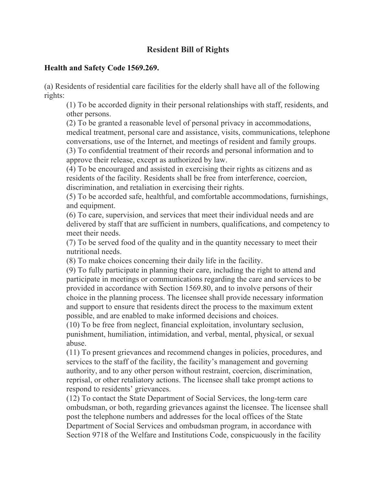## **Resident Bill of Rights**

## **Health and Safety Code 1569.269.**

(a) Residents of residential care facilities for the elderly shall have all of the following rights:

(1) To be accorded dignity in their personal relationships with staff, residents, and other persons.

(2) To be granted a reasonable level of personal privacy in accommodations, medical treatment, personal care and assistance, visits, communications, telephone conversations, use of the Internet, and meetings of resident and family groups. (3) To confidential treatment of their records and personal information and to

approve their release, except as authorized by law.

(4) To be encouraged and assisted in exercising their rights as citizens and as residents of the facility. Residents shall be free from interference, coercion, discrimination, and retaliation in exercising their rights.

(5) To be accorded safe, healthful, and comfortable accommodations, furnishings, and equipment.

(6) To care, supervision, and services that meet their individual needs and are delivered by staff that are sufficient in numbers, qualifications, and competency to meet their needs.

(7) To be served food of the quality and in the quantity necessary to meet their nutritional needs.

(8) To make choices concerning their daily life in the facility.

(9) To fully participate in planning their care, including the right to attend and participate in meetings or communications regarding the care and services to be provided in accordance with Section 1569.80, and to involve persons of their choice in the planning process. The licensee shall provide necessary information and support to ensure that residents direct the process to the maximum extent possible, and are enabled to make informed decisions and choices.

(10) To be free from neglect, financial exploitation, involuntary seclusion, punishment, humiliation, intimidation, and verbal, mental, physical, or sexual abuse.

(11) To present grievances and recommend changes in policies, procedures, and services to the staff of the facility, the facility's management and governing authority, and to any other person without restraint, coercion, discrimination, reprisal, or other retaliatory actions. The licensee shall take prompt actions to respond to residents' grievances.

(12) To contact the State Department of Social Services, the long-term care ombudsman, or both, regarding grievances against the licensee. The licensee shall post the telephone numbers and addresses for the local offices of the State Department of Social Services and ombudsman program, in accordance with Section 9718 of the Welfare and Institutions Code, conspicuously in the facility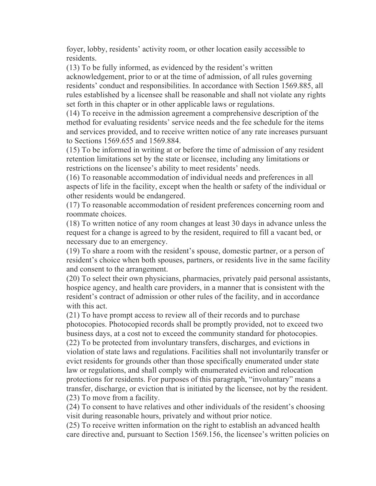foyer, lobby, residents' activity room, or other location easily accessible to residents.

(13) To be fully informed, as evidenced by the resident's written acknowledgement, prior to or at the time of admission, of all rules governing residents' conduct and responsibilities. In accordance with Section 1569.885, all rules established by a licensee shall be reasonable and shall not violate any rights set forth in this chapter or in other applicable laws or regulations.

(14) To receive in the admission agreement a comprehensive description of the method for evaluating residents' service needs and the fee schedule for the items and services provided, and to receive written notice of any rate increases pursuant to Sections 1569.655 and 1569.884.

(15) To be informed in writing at or before the time of admission of any resident retention limitations set by the state or licensee, including any limitations or restrictions on the licensee's ability to meet residents' needs.

(16) To reasonable accommodation of individual needs and preferences in all aspects of life in the facility, except when the health or safety of the individual or other residents would be endangered.

(17) To reasonable accommodation of resident preferences concerning room and roommate choices.

(18) To written notice of any room changes at least 30 days in advance unless the request for a change is agreed to by the resident, required to fill a vacant bed, or necessary due to an emergency.

(19) To share a room with the resident's spouse, domestic partner, or a person of resident's choice when both spouses, partners, or residents live in the same facility and consent to the arrangement.

(20) To select their own physicians, pharmacies, privately paid personal assistants, hospice agency, and health care providers, in a manner that is consistent with the resident's contract of admission or other rules of the facility, and in accordance with this act.

(21) To have prompt access to review all of their records and to purchase photocopies. Photocopied records shall be promptly provided, not to exceed two business days, at a cost not to exceed the community standard for photocopies. (22) To be protected from involuntary transfers, discharges, and evictions in violation of state laws and regulations. Facilities shall not involuntarily transfer or evict residents for grounds other than those specifically enumerated under state law or regulations, and shall comply with enumerated eviction and relocation protections for residents. For purposes of this paragraph, "involuntary" means a transfer, discharge, or eviction that is initiated by the licensee, not by the resident. (23) To move from a facility.

(24) To consent to have relatives and other individuals of the resident's choosing visit during reasonable hours, privately and without prior notice.

(25) To receive written information on the right to establish an advanced health care directive and, pursuant to Section 1569.156, the licensee's written policies on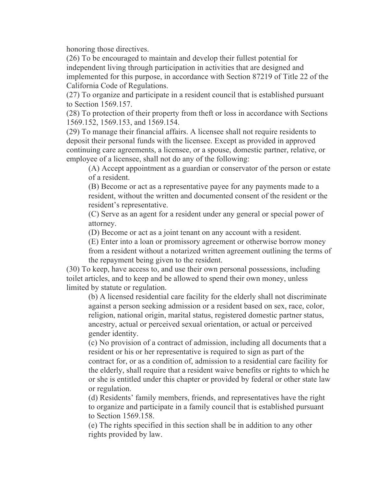honoring those directives.

(26) To be encouraged to maintain and develop their fullest potential for independent living through participation in activities that are designed and implemented for this purpose, in accordance with Section 87219 of Title 22 of the California Code of Regulations.

(27) To organize and participate in a resident council that is established pursuant to Section 1569.157.

(28) To protection of their property from theft or loss in accordance with Sections 1569.152, 1569.153, and 1569.154.

(29) To manage their financial affairs. A licensee shall not require residents to deposit their personal funds with the licensee. Except as provided in approved continuing care agreements, a licensee, or a spouse, domestic partner, relative, or employee of a licensee, shall not do any of the following:

(A) Accept appointment as a guardian or conservator of the person or estate of a resident.

(B) Become or act as a representative payee for any payments made to a resident, without the written and documented consent of the resident or the resident's representative.

(C) Serve as an agent for a resident under any general or special power of attorney.

(D) Become or act as a joint tenant on any account with a resident.

(E) Enter into a loan or promissory agreement or otherwise borrow money

from a resident without a notarized written agreement outlining the terms of the repayment being given to the resident.

(30) To keep, have access to, and use their own personal possessions, including toilet articles, and to keep and be allowed to spend their own money, unless limited by statute or regulation.

(b) A licensed residential care facility for the elderly shall not discriminate against a person seeking admission or a resident based on sex, race, color, religion, national origin, marital status, registered domestic partner status, ancestry, actual or perceived sexual orientation, or actual or perceived gender identity.

(c) No provision of a contract of admission, including all documents that a resident or his or her representative is required to sign as part of the contract for, or as a condition of, admission to a residential care facility for the elderly, shall require that a resident waive benefits or rights to which he or she is entitled under this chapter or provided by federal or other state law or regulation.

(d) Residents' family members, friends, and representatives have the right to organize and participate in a family council that is established pursuant to Section 1569.158.

(e) The rights specified in this section shall be in addition to any other rights provided by law.